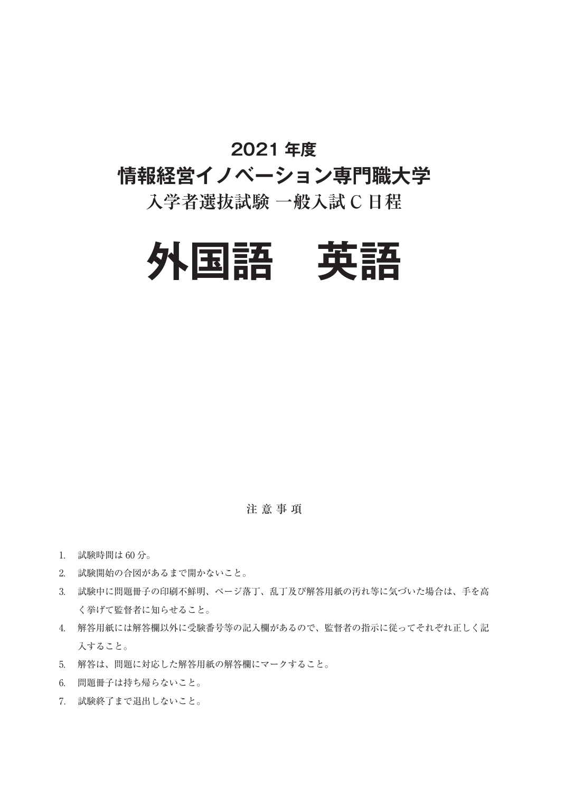### **2021 年度**

# **情報経営イノベーション専門職大学**

## **入学者選抜試験 一般入試 C 日程**



注 意 事 項

- 1. 試験時間は 60 分。
- 2. 試験開始の合図があるまで開かないこと。
- 3. 試験中に問題冊子の印刷不鮮明、ページ落丁、乱丁及び解答用紙の汚れ等に気づいた場合は、手を高 く挙げて監督者に知らせること。
- 4. 解答用紙には解答欄以外に受験番号等の記入欄があるので、監督者の指示に従ってそれぞれ正しく記 入すること。
- 5. 解答は、問題に対応した解答用紙の解答欄にマークすること。
- 6. 問題冊子は持ち帰らないこと。
- 7. 試験終了まで退出しないこと。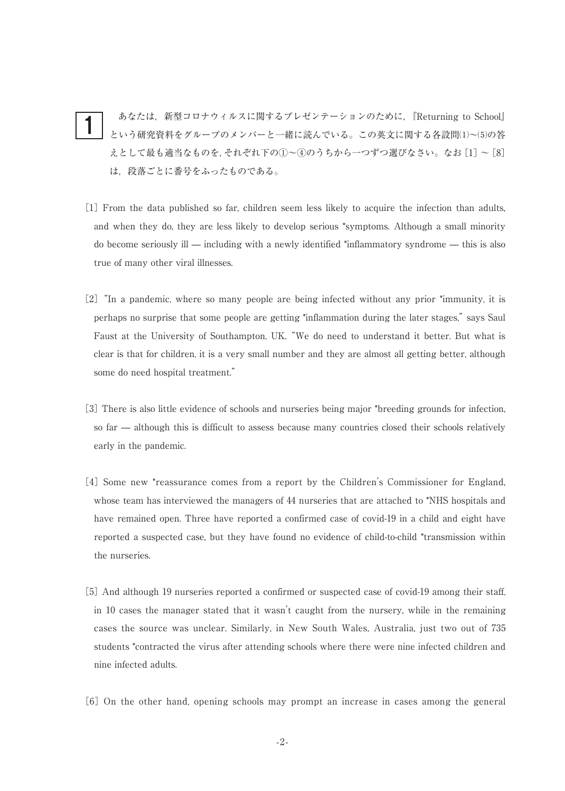あなたは,新型コロナウィルスに関するプレゼンテーションのために,『Returning to School』 という研究資料をグループのメンバーと一緒に読んでいる。この英文に関する各設問⑴~⑸の答 えとして最も適当なものを、それぞれ下の①~4のうちから一つずつ選びなさい。なお $[1]$ ~[8] は,段落ごとに番号をふったものである。 1

- [1]From the data published so far, children seem less likely to acquire the infection than adults, and when they do, they are less likely to develop serious \*symptoms. Although a small minority do become seriously ill — including with a newly identified \*inflammatory syndrome — this is also true of many other viral illnesses.
- [2]"In a pandemic, where so many people are being infected without any prior \*immunity, it is perhaps no surprise that some people are getting \*inflammation during the later stages,"says Saul Faust at the University of Southampton, UK."We do need to understand it better. But what is clear is that for children, it is a very small number and they are almost all getting better, although some do need hospital treatment."
- [3]There is also little evidence of schools and nurseries being major \*breeding grounds for infection, so far — although this is difficult to assess because many countries closed their schools relatively early in the pandemic.
- [4] Some new \*reassurance comes from a report by the Children's Commissioner for England, whose team has interviewed the managers of 44 nurseries that are attached to \*NHS hospitals and have remained open. Three have reported a confirmed case of covid-19 in a child and eight have reported a suspected case, but they have found no evidence of child-to-child \*transmission within the nurseries.
- [5] And although 19 nurseries reported a confirmed or suspected case of covid-19 among their staff, in 10 cases the manager stated that it wasn't caught from the nursery, while in the remaining cases the source was unclear. Similarly, in New South Wales, Australia, just two out of 735 students \*contracted the virus after attending schools where there were nine infected children and nine infected adults.
- [6]On the other hand, opening schools may prompt an increase in cases among the general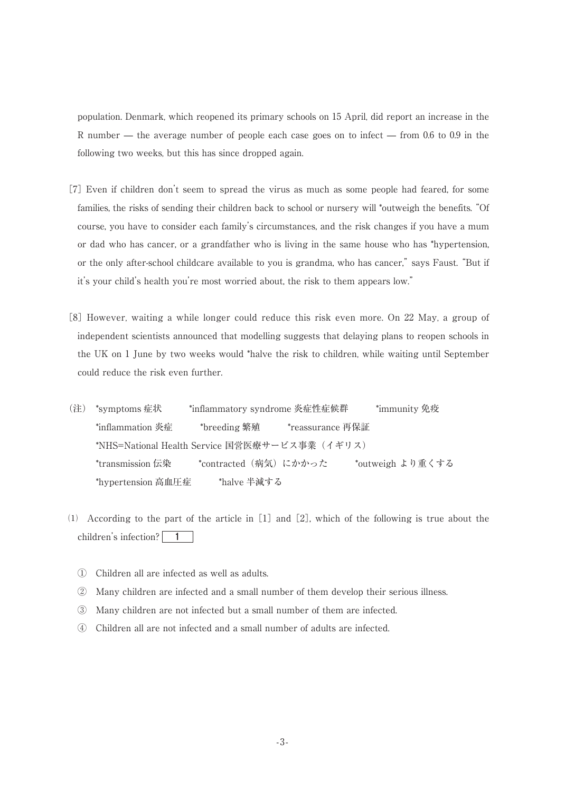population. Denmark, which reopened its primary schools on 15 April, did report an increase in the R number — the average number of people each case goes on to infect — from 0.6 to 0.9 in the following two weeks, but this has since dropped again.

- [7]Even if children don't seem to spread the virus as much as some people had feared, for some families, the risks of sending their children back to school or nursery will \*outweigh the benefits."Of course, you have to consider each family's circumstances, and the risk changes if you have a mum or dad who has cancer, or a grandfather who is living in the same house who has \*hypertension, or the only after-school childcare available to you is grandma, who has cancer,"says Faust."But if it's your child's health you're most worried about, the risk to them appears low."
- [8] However, waiting a while longer could reduce this risk even more. On 22 May, a group of independent scientists announced that modelling suggests that delaying plans to reopen schools in the UK on 1 June by two weeks would \*halve the risk to children, while waiting until September could reduce the risk even further.
- (注) \*symptoms 症状 \*inflammatory syndrome 炎症性症候群 \*immunity 免疫 \*inflammation 炎症 \*breeding 繁殖 \*reassurance 再保証 \*NHS=National Health Service 国営医療サービス事業(イギリス) \*transmission 伝染 \*contracted(病気)にかかった \*outweigh より重くする \*hypertension 高血圧症 \*halve 半減する
- $(1)$  According to the part of the article in  $[1]$  and  $[2]$ , which of the following is true about the children's infection? 1
	- ① Children all are infected as well as adults.
	- ② Many children are infected and a small number of them develop their serious illness.
	- ③ Many children are not infected but a small number of them are infected.
	- ④ Children all are not infected and a small number of adults are infected.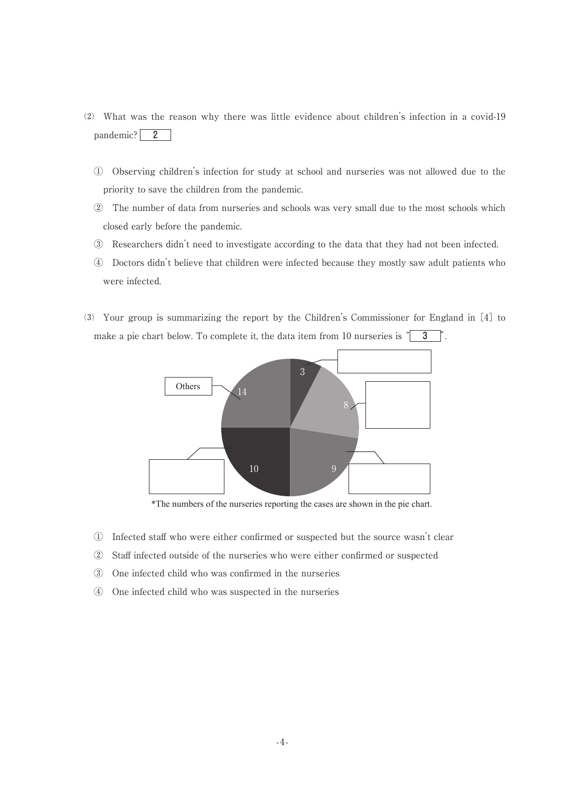- ⑵ What was the reason why there was little evidence about children's infection in a covid-19 pandemic? 2
	- ① Observing children's infection for study at school and nurseries was not allowed due to the priority to save the children from the pandemic.
	- ② The number of data from nurseries and schools was very small due to the most schools which closed early before the pandemic.
	- ③ Researchers didn't need to investigate according to the data that they had not been infected.
	- ④ Doctors didn't believe that children were infected because they mostly saw adult patients who were infected.
- ⑶ Your group is summarizing the report by the Children's Commissioner for England in[4]to make a pie chart below. To complete it, the data item from 10 nurseries is  $\parallel$  3



\*The numbers of the nurseries reporting the cases are shown in the pie chart.

- ① Infected staff who were either confirmed or suspected but the source wasn't clear
- ② Staff infected outside of the nurseries who were either confirmed or suspected
- ③ One infected child who was confirmed in the nurseries
- ④ One infected child who was suspected in the nurseries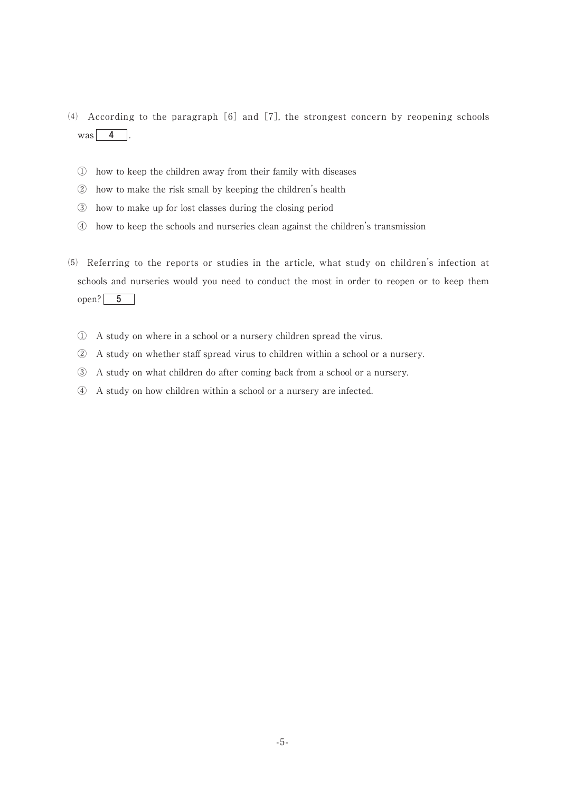- $(4)$  According to the paragraph [6] and [7], the strongest concern by reopening schools was  $4$  .
	- ① how to keep the children away from their family with diseases
	- ② how to make the risk small by keeping the children's health
	- ③ how to make up for lost classes during the closing period
	- ④ how to keep the schools and nurseries clean against the children's transmission
- ⑸ Referring to the reports or studies in the article, what study on children's infection at schools and nurseries would you need to conduct the most in order to reopen or to keep them open?  $5$ 
	- ① A study on where in a school or a nursery children spread the virus.
	- ② A study on whether staff spread virus to children within a school or a nursery.
	- ③ A study on what children do after coming back from a school or a nursery.
	- ④ A study on how children within a school or a nursery are infected.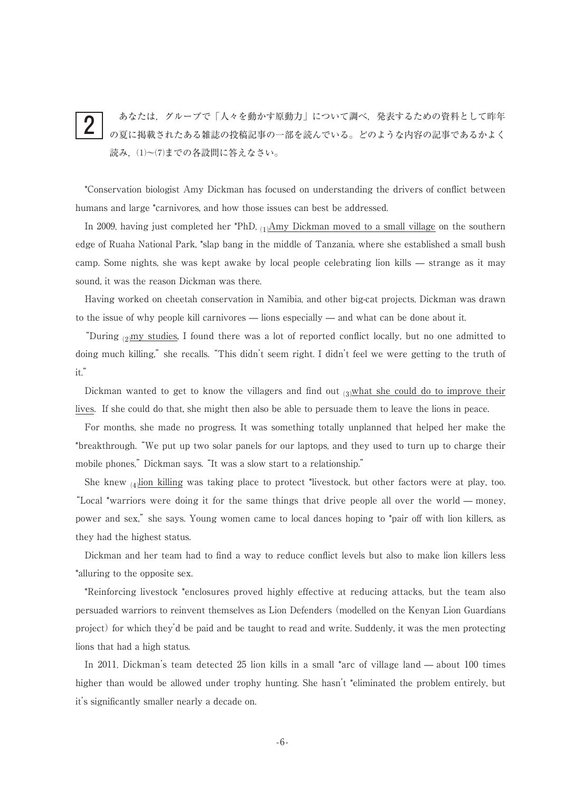#### あなたは,グループで「人々を動かす原動力」について調べ,発表するための資料として昨年 の夏に掲載されたある雑誌の投稿記事の一部を読んでいる。どのような内容の記事であるかよく 読み,⑴~⑺までの各設問に答えなさい。 2

\*Conservation biologist Amy Dickman has focused on understanding the drivers of conflict between humans and large \*carnivores, and how those issues can best be addressed.

In 2009, having just completed her \*PhD,  $_{(1)}$ Amy Dickman moved to a small village on the southern edge of Ruaha National Park, \*slap bang in the middle of Tanzania, where she established a small bush camp. Some nights, she was kept awake by local people celebrating lion kills — strange as it may sound, it was the reason Dickman was there.

Having worked on cheetah conservation in Namibia, and other big-cat projects, Dickman was drawn to the issue of why people kill carnivores — lions especially — and what can be done about it.

"During  $_{(2)}$ my studies, I found there was a lot of reported conflict locally, but no one admitted to doing much killing," she recalls. "This didn't seem right. I didn't feel we were getting to the truth of it."

Dickman wanted to get to know the villagers and find out  $\alpha$  what she could do to improve their lives. If she could do that, she might then also be able to persuade them to leave the lions in peace.

For months, she made no progress. It was something totally unplanned that helped her make the \*breakthrough."We put up two solar panels for our laptops, and they used to turn up to charge their mobile phones," Dickman says. "It was a slow start to a relationship."

She knew  $\alpha$  lion killing was taking place to protect \*livestock, but other factors were at play, too. "Local \*warriors were doing it for the same things that drive people all over the world — money, power and sex," she says. Young women came to local dances hoping to \*pair off with lion killers, as they had the highest status.

Dickman and her team had to find a way to reduce conflict levels but also to make lion killers less \*alluring to the opposite sex.

\*Reinforcing livestock \*enclosures proved highly effective at reducing attacks, but the team also persuaded warriors to reinvent themselves as Lion Defenders(modelled on the Kenyan Lion Guardians project) for which they'd be paid and be taught to read and write. Suddenly, it was the men protecting lions that had a high status.

In 2011, Dickman's team detected 25 lion kills in a small \*arc of village land — about 100 times higher than would be allowed under trophy hunting. She hasn't \*eliminated the problem entirely, but it's significantly smaller nearly a decade on.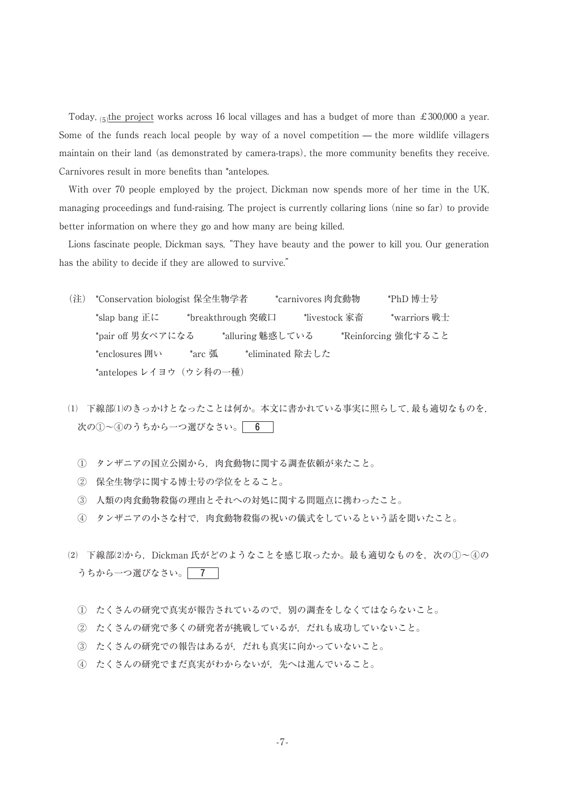Today,  $\frac{1}{5}$ the project works across 16 local villages and has a budget of more than £300,000 a year. Some of the funds reach local people by way of a novel competition — the more wildlife villagers maintain on their land (as demonstrated by camera-traps), the more community benefits they receive. Carnivores result in more benefits than \*antelopes.

With over 70 people employed by the project, Dickman now spends more of her time in the UK, managing proceedings and fund-raising. The project is currently collaring lions (nine so far) to provide better information on where they go and how many are being killed.

Lions fascinate people, Dickman says,"They have beauty and the power to kill you. Our generation has the ability to decide if they are allowed to survive."

- (注) \*Conservation biologist 保全生物学者 \*carnivores 肉食動物 \*PhD 博士号 \*slap bang 正に \*breakthrough 突破口 \*livestock 家畜 \*warriors 戦士 \*pair off 男女ペアになる \*alluring 魅惑している \*Reinforcing 強化すること \*enclosures 囲い \*arc 弧 \*\*eliminated 除去した \*antelopes レイヨウ(ウシ科の一種)
- ⑴ 下線部⑴のきっかけとなったことは何か。本文に書かれている事実に照らして,最も適切なものを, 次の①~④のうちから一つ選びなさい。 6
	- ① タンザニアの国立公園から,肉食動物に関する調査依頼が来たこと。
	- ② 保全生物学に関する博士号の学位をとること。
	- ③ 人類の肉食動物殺傷の理由とそれへの対処に関する問題点に携わったこと。
	- ④ タンザニアの小さな村で,肉食動物殺傷の祝いの儀式をしているという話を聞いたこと。
- ⑵ 下線部⑵から,Dickman 氏がどのようなことを感じ取ったか。最も適切なものを,次の①~④の うちから一つ選びなさい。 7
	- ① たくさんの研究で真実が報告されているので,別の調査をしなくてはならないこと。
	- ② たくさんの研究で多くの研究者が挑戦しているが,だれも成功していないこと。
	- ③ たくさんの研究での報告はあるが,だれも真実に向かっていないこと。
	- ④ たくさんの研究でまだ真実がわからないが,先へは進んでいること。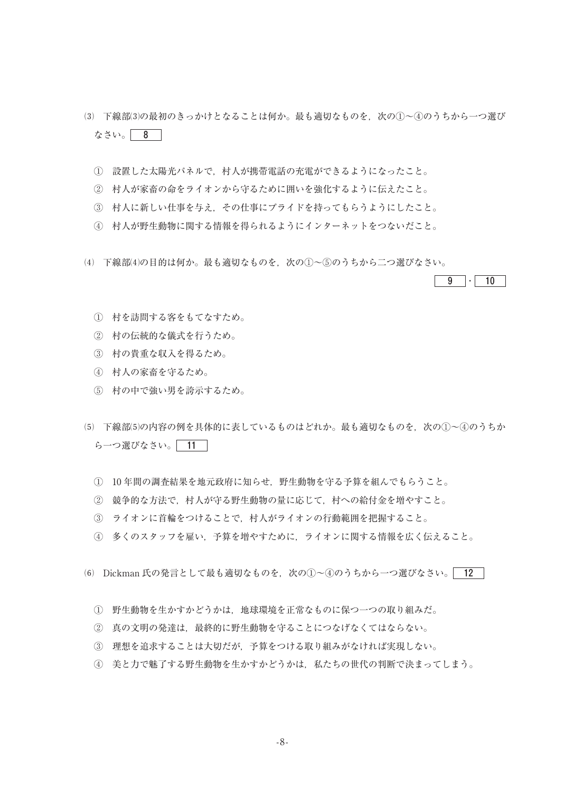- ⑶ 下線部⑶の最初のきっかけとなることは何か。最も適切なものを,次の①~④のうちから一つ選び なさい。| 8 |
	- 設置した太陽光パネルで,村人が携帯電話の充電ができるようになったこと。
	- 村人が家畜の命をライオンから守るために囲いを強化するように伝えたこと。
	- 村人に新しい仕事を与え,その仕事にプライドを持ってもらうようにしたこと。
	- 村人が野生動物に関する情報を得られるようにインターネットをつないだこと。
- ⑷ 下線部⑷の目的は何か。最も適切なものを,次の①~⑤のうちから二つ選びなさい。



- 村を訪問する客をもてなすため。
- 村の伝統的な儀式を行うため。
- 村の貴重な収入を得るため。
- 村人の家畜を守るため。
- 村の中で強い男を誇示するため。
- (5) 下線部(5)の内容の例を具体的に表しているものはどれか。最も適切なものを,次の①~④のうちか ら一つ選びなさい。 11
	- 10 年間の調査結果を地元政府に知らせ,野生動物を守る予算を組んでもらうこと。
	- 競争的な方法で,村人が守る野生動物の量に応じて,村への給付金を増やすこと。
	- ライオンに首輪をつけることで,村人がライオンの行動範囲を把握すること。
	- 多くのスタッフを雇い,予算を増やすために,ライオンに関する情報を広く伝えること。
- (6) Dickman 氏の発言として最も適切なものを, 次の①~4のうちから一つ選びなさい。 12
	- 野生動物を生かすかどうかは,地球環境を正常なものに保つ一つの取り組みだ。
	- 真の文明の発達は,最終的に野生動物を守ることにつなげなくてはならない。
	- 理想を追求することは大切だが,予算をつける取り組みがなければ実現しない。
	- 美と力で魅了する野生動物を生かすかどうかは,私たちの世代の判断で決まってしまう。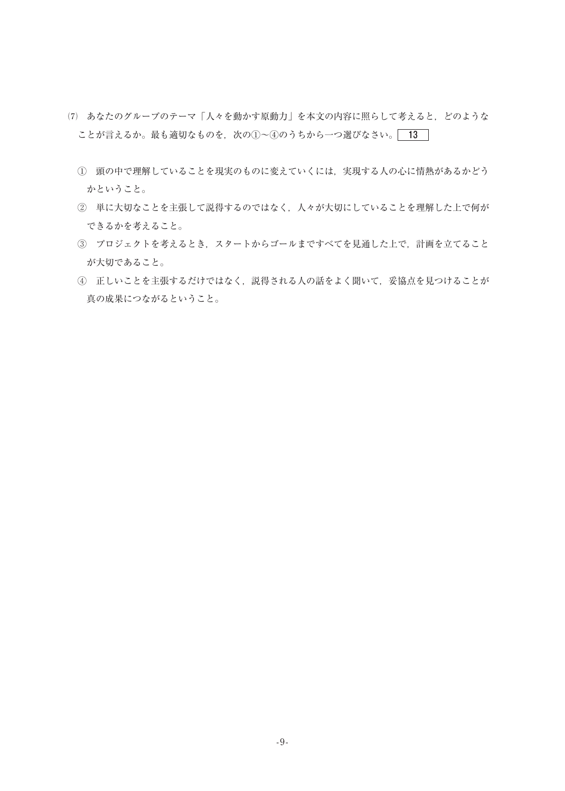- ⑺ あなたのグループのテーマ「人々を動かす原動力」を本文の内容に照らして考えると,どのような ことが言えるか。最も適切なものを、次の①~④のうちから一つ選びなさい。<br>
<br>
13
	- ① 頭の中で理解していることを現実のものに変えていくには,実現する人の心に情熱があるかどう かということ。
	- ② 単に大切なことを主張して説得するのではなく,人々が大切にしていることを理解した上で何が できるかを考えること。
	- ③ プロジェクトを考えるとき,スタートからゴールまですべてを見通した上で,計画を立てること が大切であること。
	- ④ 正しいことを主張するだけではなく,説得される人の話をよく聞いて,妥協点を見つけることが 真の成果につながるということ。